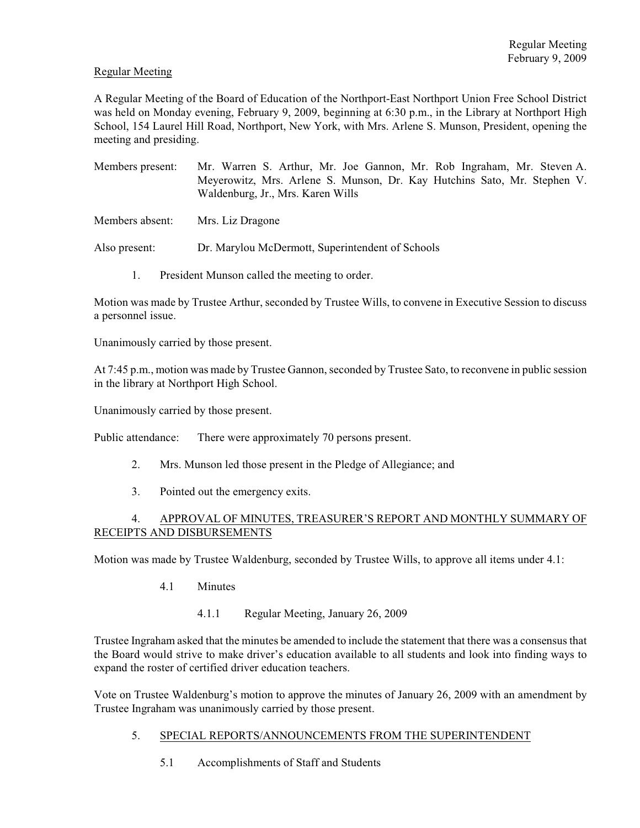# Regular Meeting

A Regular Meeting of the Board of Education of the Northport-East Northport Union Free School District was held on Monday evening, February 9, 2009, beginning at 6:30 p.m., in the Library at Northport High School, 154 Laurel Hill Road, Northport, New York, with Mrs. Arlene S. Munson, President, opening the meeting and presiding.

- Members present: Mr. Warren S. Arthur, Mr. Joe Gannon, Mr. Rob Ingraham, Mr. Steven A. Meyerowitz, Mrs. Arlene S. Munson, Dr. Kay Hutchins Sato, Mr. Stephen V. Waldenburg, Jr., Mrs. Karen Wills
- Members absent: Mrs. Liz Dragone

Also present: Dr. Marylou McDermott, Superintendent of Schools

1. President Munson called the meeting to order.

Motion was made by Trustee Arthur, seconded by Trustee Wills, to convene in Executive Session to discuss a personnel issue.

Unanimously carried by those present.

At 7:45 p.m., motion was made by Trustee Gannon, seconded by Trustee Sato, to reconvene in public session in the library at Northport High School.

Unanimously carried by those present.

Public attendance: There were approximately 70 persons present.

- 2. Mrs. Munson led those present in the Pledge of Allegiance; and
- 3. Pointed out the emergency exits.

# 4. APPROVAL OF MINUTES, TREASURER'S REPORT AND MONTHLY SUMMARY OF RECEIPTS AND DISBURSEMENTS

Motion was made by Trustee Waldenburg, seconded by Trustee Wills, to approve all items under 4.1:

- 4.1 Minutes
	- 4.1.1 Regular Meeting, January 26, 2009

Trustee Ingraham asked that the minutes be amended to include the statement that there was a consensus that the Board would strive to make driver's education available to all students and look into finding ways to expand the roster of certified driver education teachers.

Vote on Trustee Waldenburg's motion to approve the minutes of January 26, 2009 with an amendment by Trustee Ingraham was unanimously carried by those present.

- 5. SPECIAL REPORTS/ANNOUNCEMENTS FROM THE SUPERINTENDENT
	- 5.1 Accomplishments of Staff and Students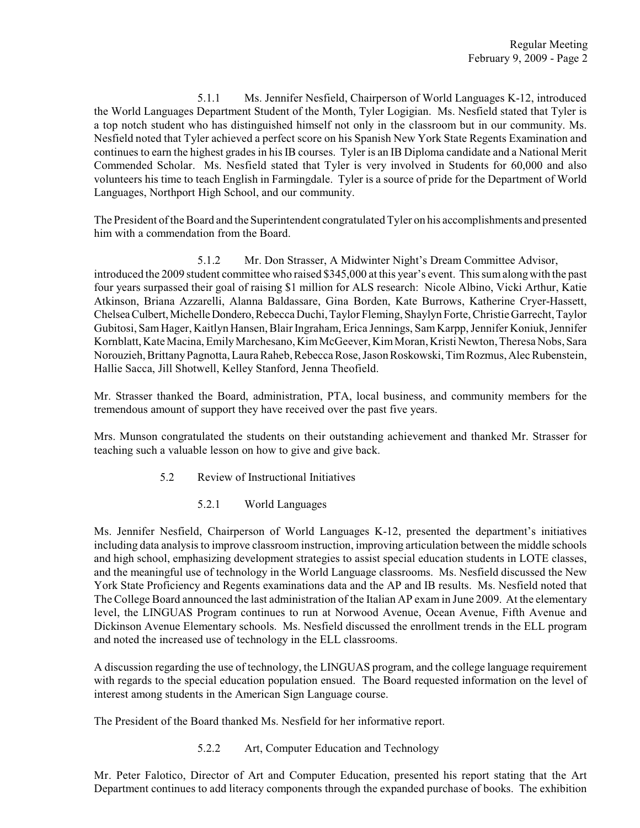5.1.1 Ms. Jennifer Nesfield, Chairperson of World Languages K-12, introduced the World Languages Department Student of the Month, Tyler Logigian. Ms. Nesfield stated that Tyler is a top notch student who has distinguished himself not only in the classroom but in our community. Ms. Nesfield noted that Tyler achieved a perfect score on his Spanish New York State Regents Examination and continues to earn the highest grades in his IB courses. Tyler is an IB Diploma candidate and a National Merit Commended Scholar. Ms. Nesfield stated that Tyler is very involved in Students for 60,000 and also volunteers his time to teach English in Farmingdale. Tyler is a source of pride for the Department of World Languages, Northport High School, and our community.

The President of the Board and the Superintendent congratulated Tyler on his accomplishments and presented him with a commendation from the Board.

5.1.2 Mr. Don Strasser, A Midwinter Night's Dream Committee Advisor, introduced the 2009 student committee who raised \$345,000 at this year's event. This sumalongwith the past four years surpassed their goal of raising \$1 million for ALS research: Nicole Albino, Vicki Arthur, Katie Atkinson, Briana Azzarelli, Alanna Baldassare, Gina Borden, Kate Burrows, Katherine Cryer-Hassett, Chelsea Culbert, Michelle Dondero, Rebecca Duchi, Taylor Fleming, Shaylyn Forte, Christie Garrecht, Taylor Gubitosi, Sam Hager, Kaitlyn Hansen, Blair Ingraham, Erica Jennings, Sam Karpp, Jennifer Koniuk, Jennifer Kornblatt, Kate Macina, Emily Marchesano, Kim McGeever, Kim Moran, Kristi Newton, Theresa Nobs, Sara Norouzieh, BrittanyPagnotta,LauraRaheb, Rebecca Rose, Jason Roskowski, TimRozmus, Alec Rubenstein, Hallie Sacca, Jill Shotwell, Kelley Stanford, Jenna Theofield.

Mr. Strasser thanked the Board, administration, PTA, local business, and community members for the tremendous amount of support they have received over the past five years.

Mrs. Munson congratulated the students on their outstanding achievement and thanked Mr. Strasser for teaching such a valuable lesson on how to give and give back.

- 5.2 Review of Instructional Initiatives
	- 5.2.1 World Languages

Ms. Jennifer Nesfield, Chairperson of World Languages K-12, presented the department's initiatives including data analysis to improve classroom instruction, improving articulation between the middle schools and high school, emphasizing development strategies to assist special education students in LOTE classes, and the meaningful use of technology in the World Language classrooms. Ms. Nesfield discussed the New York State Proficiency and Regents examinations data and the AP and IB results. Ms. Nesfield noted that The College Board announced the last administration of the Italian AP exam in June 2009. At the elementary level, the LINGUAS Program continues to run at Norwood Avenue, Ocean Avenue, Fifth Avenue and Dickinson Avenue Elementary schools. Ms. Nesfield discussed the enrollment trends in the ELL program and noted the increased use of technology in the ELL classrooms.

A discussion regarding the use of technology, the LINGUAS program, and the college language requirement with regards to the special education population ensued. The Board requested information on the level of interest among students in the American Sign Language course.

The President of the Board thanked Ms. Nesfield for her informative report.

5.2.2 Art, Computer Education and Technology

Mr. Peter Falotico, Director of Art and Computer Education, presented his report stating that the Art Department continues to add literacy components through the expanded purchase of books. The exhibition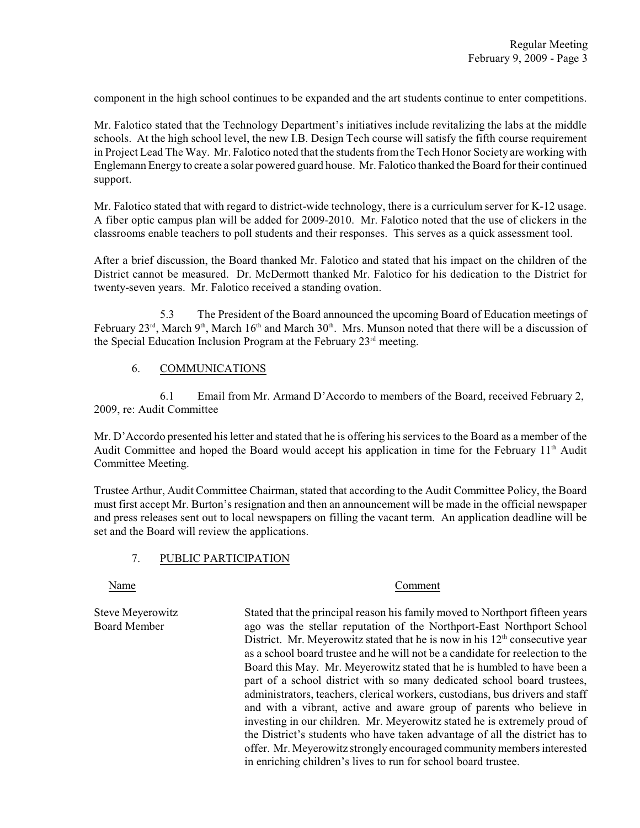component in the high school continues to be expanded and the art students continue to enter competitions.

Mr. Falotico stated that the Technology Department's initiatives include revitalizing the labs at the middle schools. At the high school level, the new I.B. Design Tech course will satisfy the fifth course requirement in Project Lead The Way. Mr. Falotico noted that the students from the Tech Honor Society are working with Englemann Energy to create a solar powered guard house. Mr. Falotico thanked the Board for their continued support.

Mr. Falotico stated that with regard to district-wide technology, there is a curriculum server for K-12 usage. A fiber optic campus plan will be added for 2009-2010. Mr. Falotico noted that the use of clickers in the classrooms enable teachers to poll students and their responses. This serves as a quick assessment tool.

After a brief discussion, the Board thanked Mr. Falotico and stated that his impact on the children of the District cannot be measured. Dr. McDermott thanked Mr. Falotico for his dedication to the District for twenty-seven years. Mr. Falotico received a standing ovation.

5.3 The President of the Board announced the upcoming Board of Education meetings of February  $23^{\text{rd}}$ , March  $9^{\text{th}}$ , March  $16^{\text{th}}$  and March  $30^{\text{th}}$ . Mrs. Munson noted that there will be a discussion of the Special Education Inclusion Program at the February  $23<sup>rd</sup>$  meeting.

# 6. COMMUNICATIONS

6.1 Email from Mr. Armand D'Accordo to members of the Board, received February 2, 2009, re: Audit Committee

Mr. D'Accordo presented his letter and stated that he is offering his services to the Board as a member of the Audit Committee and hoped the Board would accept his application in time for the February  $11<sup>th</sup>$  Audit Committee Meeting.

Trustee Arthur, Audit Committee Chairman, stated that according to the Audit Committee Policy, the Board must first accept Mr. Burton's resignation and then an announcement will be made in the official newspaper and press releases sent out to local newspapers on filling the vacant term. An application deadline will be set and the Board will review the applications.

# 7. PUBLIC PARTICIPATION

#### Name Comment

Steve Meyerowitz Stated that the principal reason his family moved to Northport fifteen years Board Member ago was the stellar reputation of the Northport-East Northport School District. Mr. Meyerowitz stated that he is now in his  $12<sup>th</sup>$  consecutive year as a school board trustee and he will not be a candidate for reelection to the Board this May. Mr. Meyerowitz stated that he is humbled to have been a part of a school district with so many dedicated school board trustees, administrators, teachers, clerical workers, custodians, bus drivers and staff and with a vibrant, active and aware group of parents who believe in investing in our children. Mr. Meyerowitz stated he is extremely proud of the District's students who have taken advantage of all the district has to offer. Mr. Meyerowitz strongly encouraged community members interested in enriching children's lives to run for school board trustee.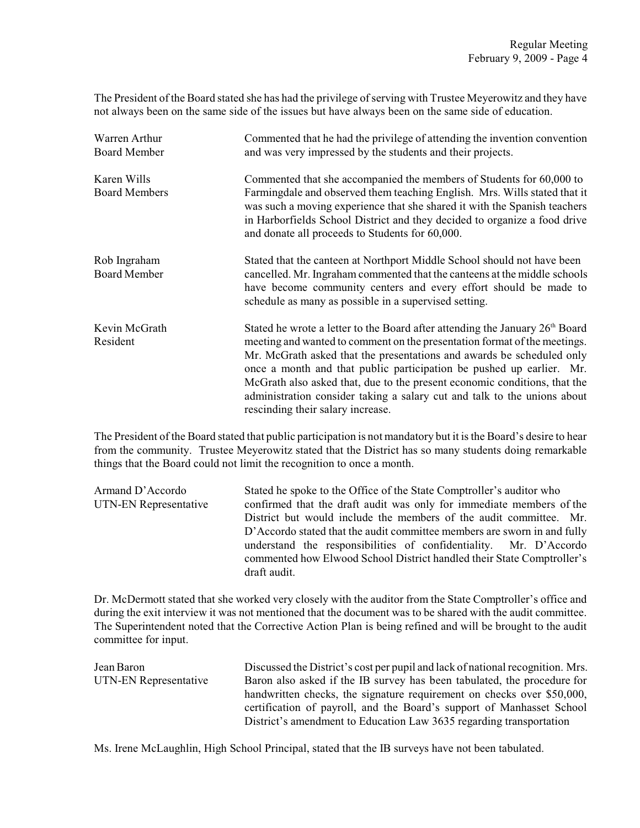The President of the Board stated she has had the privilege of serving with Trustee Meyerowitz and they have not always been on the same side of the issues but have always been on the same side of education.

| Warren Arthur<br><b>Board Member</b> | Commented that he had the privilege of attending the invention convention<br>and was very impressed by the students and their projects.                                                                                                                                                                                                                                                                                                                                                                    |
|--------------------------------------|------------------------------------------------------------------------------------------------------------------------------------------------------------------------------------------------------------------------------------------------------------------------------------------------------------------------------------------------------------------------------------------------------------------------------------------------------------------------------------------------------------|
| Karen Wills<br><b>Board Members</b>  | Commented that she accompanied the members of Students for 60,000 to<br>Farmingdale and observed them teaching English. Mrs. Wills stated that it<br>was such a moving experience that she shared it with the Spanish teachers<br>in Harborfields School District and they decided to organize a food drive<br>and donate all proceeds to Students for 60,000.                                                                                                                                             |
| Rob Ingraham<br>Board Member         | Stated that the canteen at Northport Middle School should not have been<br>cancelled. Mr. Ingraham commented that the canteens at the middle schools<br>have become community centers and every effort should be made to<br>schedule as many as possible in a supervised setting.                                                                                                                                                                                                                          |
| Kevin McGrath<br>Resident            | Stated he wrote a letter to the Board after attending the January $26th$ Board<br>meeting and wanted to comment on the presentation format of the meetings.<br>Mr. McGrath asked that the presentations and awards be scheduled only<br>once a month and that public participation be pushed up earlier. Mr.<br>McGrath also asked that, due to the present economic conditions, that the<br>administration consider taking a salary cut and talk to the unions about<br>rescinding their salary increase. |

The President of the Board stated that public participation is not mandatory but it is the Board's desire to hear from the community. Trustee Meyerowitz stated that the District has so many students doing remarkable things that the Board could not limit the recognition to once a month.

| Armand D'Accordo      | Stated he spoke to the Office of the State Comptroller's auditor who     |
|-----------------------|--------------------------------------------------------------------------|
| UTN-EN Representative | confirmed that the draft audit was only for immediate members of the     |
|                       | District but would include the members of the audit committee. Mr.       |
|                       | D'Accordo stated that the audit committee members are sworn in and fully |
|                       | understand the responsibilities of confidentiality. Mr. D'Accordo        |
|                       | commented how Elwood School District handled their State Comptroller's   |
|                       | draft audit.                                                             |

Dr. McDermott stated that she worked very closely with the auditor from the State Comptroller's office and during the exit interview it was not mentioned that the document was to be shared with the audit committee. The Superintendent noted that the Corrective Action Plan is being refined and will be brought to the audit committee for input.

| Jean Baron            | Discussed the District's cost per pupil and lack of national recognition. Mrs. |
|-----------------------|--------------------------------------------------------------------------------|
| UTN-EN Representative | Baron also asked if the IB survey has been tabulated, the procedure for        |
|                       | handwritten checks, the signature requirement on checks over \$50,000,         |
|                       | certification of payroll, and the Board's support of Manhasset School          |
|                       | District's amendment to Education Law 3635 regarding transportation            |

Ms. Irene McLaughlin, High School Principal, stated that the IB surveys have not been tabulated.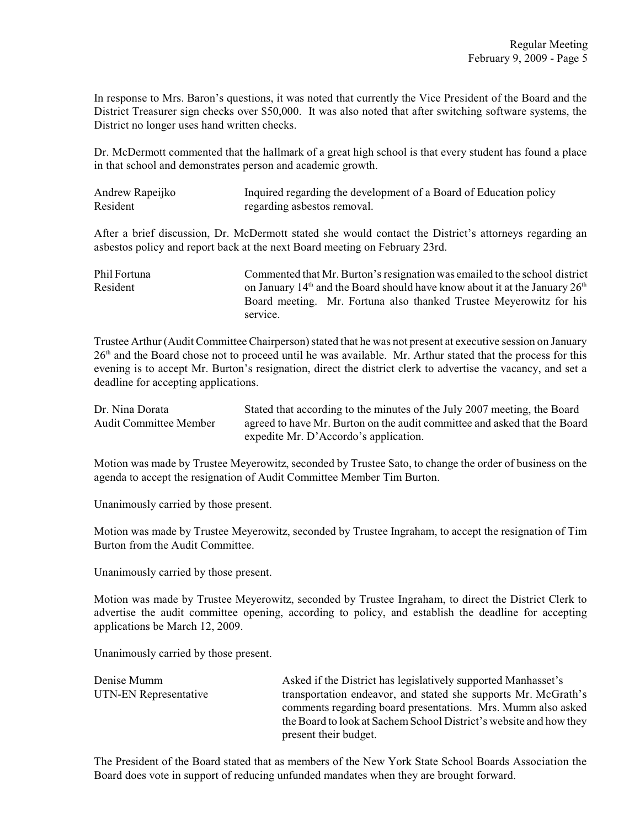In response to Mrs. Baron's questions, it was noted that currently the Vice President of the Board and the District Treasurer sign checks over \$50,000. It was also noted that after switching software systems, the District no longer uses hand written checks.

Dr. McDermott commented that the hallmark of a great high school is that every student has found a place in that school and demonstrates person and academic growth.

| Andrew Rapeijko | Inquired regarding the development of a Board of Education policy |
|-----------------|-------------------------------------------------------------------|
| Resident        | regarding as bestos removal.                                      |

After a brief discussion, Dr. McDermott stated she would contact the District's attorneys regarding an asbestos policy and report back at the next Board meeting on February 23rd.

Phil Fortuna Commented that Mr. Burton's resignation was emailed to the school district Resident on January  $14<sup>th</sup>$  and the Board should have know about it at the January  $26<sup>th</sup>$ Board meeting. Mr. Fortuna also thanked Trustee Meyerowitz for his service.

Trustee Arthur (Audit Committee Chairperson) stated that he was not present at executive session on January  $26<sup>th</sup>$  and the Board chose not to proceed until he was available. Mr. Arthur stated that the process for this evening is to accept Mr. Burton's resignation, direct the district clerk to advertise the vacancy, and set a deadline for accepting applications.

| Dr. Nina Dorata        | Stated that according to the minutes of the July 2007 meeting, the Board  |
|------------------------|---------------------------------------------------------------------------|
| Audit Committee Member | agreed to have Mr. Burton on the audit committee and asked that the Board |
|                        | expedite Mr. D'Accordo's application.                                     |

Motion was made by Trustee Meyerowitz, seconded by Trustee Sato, to change the order of business on the agenda to accept the resignation of Audit Committee Member Tim Burton.

Unanimously carried by those present.

Motion was made by Trustee Meyerowitz, seconded by Trustee Ingraham, to accept the resignation of Tim Burton from the Audit Committee.

Unanimously carried by those present.

Motion was made by Trustee Meyerowitz, seconded by Trustee Ingraham, to direct the District Clerk to advertise the audit committee opening, according to policy, and establish the deadline for accepting applications be March 12, 2009.

Unanimously carried by those present.

| Denise Mumm           | Asked if the District has legislatively supported Manhasset's      |
|-----------------------|--------------------------------------------------------------------|
| UTN-EN Representative | transportation endeavor, and stated she supports Mr. McGrath's     |
|                       | comments regarding board presentations. Mrs. Mumm also asked       |
|                       | the Board to look at Sachem School District's website and how they |
|                       | present their budget.                                              |

The President of the Board stated that as members of the New York State School Boards Association the Board does vote in support of reducing unfunded mandates when they are brought forward.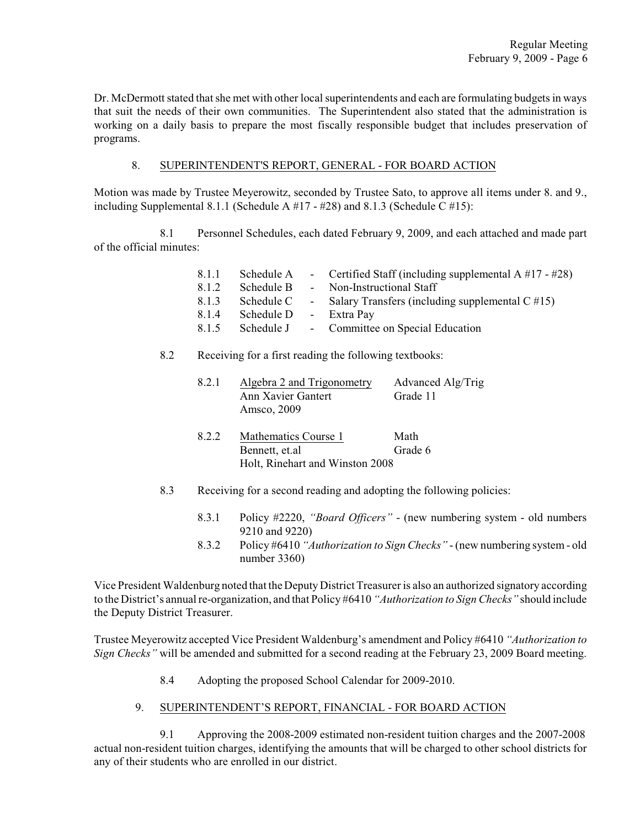Dr. McDermott stated that she met with other local superintendents and each are formulating budgets in ways that suit the needs of their own communities. The Superintendent also stated that the administration is working on a daily basis to prepare the most fiscally responsible budget that includes preservation of programs.

### 8. SUPERINTENDENT'S REPORT, GENERAL - FOR BOARD ACTION

Motion was made by Trustee Meyerowitz, seconded by Trustee Sato, to approve all items under 8. and 9., including Supplemental 8.1.1 (Schedule A  $#17 - #28$ ) and 8.1.3 (Schedule C  $#15$ ):

8.1 Personnel Schedules, each dated February 9, 2009, and each attached and made part of the official minutes:

| 8.1.1 | Schedule A |            | - Certified Staff (including supplemental $A \#17 - #28$ ) |
|-------|------------|------------|------------------------------------------------------------|
| 8.1.2 | Schedule B | $\sim 100$ | Non-Instructional Staff                                    |
| 8.1.3 | Schedule C | $\sim 100$ | Salary Transfers (including supplemental $C \neq 15$ )     |
| 8.1.4 | Schedule D |            | - Extra Pay                                                |
| 8.1.5 | Schedule J |            | - Committee on Special Education                           |
|       |            |            |                                                            |

# 8.2 Receiving for a first reading the following textbooks:

| 8.2.1 | Algebra 2 and Trigonometry | Advanced Alg/Trig |
|-------|----------------------------|-------------------|
|       | Ann Xavier Gantert         | Grade 11          |
|       | Amsco, 2009                |                   |

- 8.2.2 Mathematics Course 1 Math Bennett, et.al Grade 6 Holt, Rinehart and Winston 2008
- 8.3 Receiving for a second reading and adopting the following policies:
	- 8.3.1 Policy #2220, *"Board Officers"* (new numbering system old numbers 9210 and 9220)
	- 8.3.2 Policy #6410 *"Authorization to Sign Checks"* (new numbering system old number 3360)

Vice President Waldenburg noted that the DeputyDistrict Treasurer is also an authorized signatory according to the District's annual re-organization, and that Policy #6410 *"Authorization to Sign Checks"* should include the Deputy District Treasurer.

Trustee Meyerowitz accepted Vice President Waldenburg's amendment and Policy #6410 *"Authorization to Sign Checks"* will be amended and submitted for a second reading at the February 23, 2009 Board meeting.

8.4 Adopting the proposed School Calendar for 2009-2010.

# 9. SUPERINTENDENT'S REPORT, FINANCIAL - FOR BOARD ACTION

9.1 Approving the 2008-2009 estimated non-resident tuition charges and the 2007-2008 actual non-resident tuition charges, identifying the amounts that will be charged to other school districts for any of their students who are enrolled in our district.